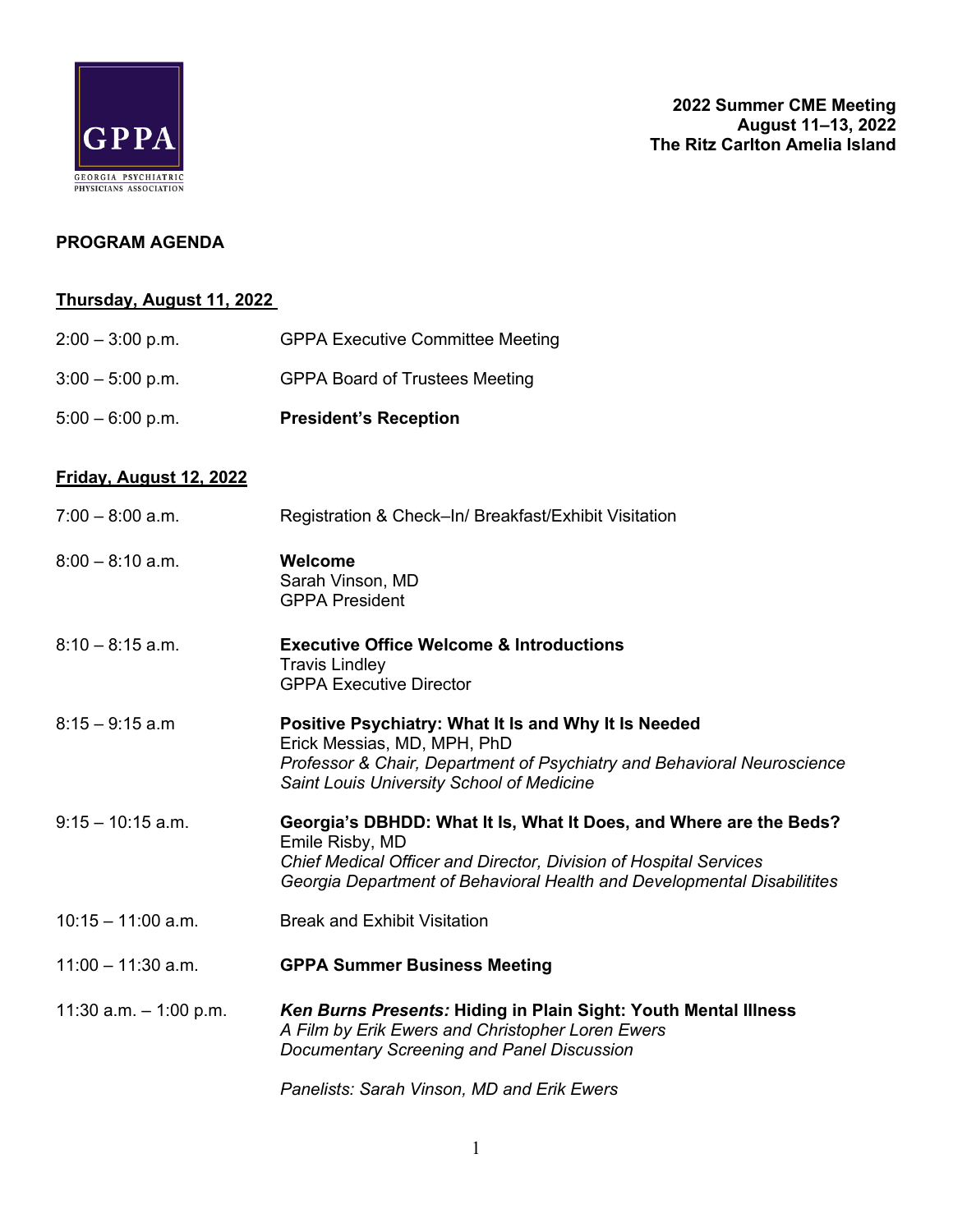

## **PROGRAM AGENDA**

## **Thursday, August 11, 2022**

| $2:00 - 3:00$ p.m.       | <b>GPPA Executive Committee Meeting</b>                                                                                                                                                                                               |
|--------------------------|---------------------------------------------------------------------------------------------------------------------------------------------------------------------------------------------------------------------------------------|
| $3:00 - 5:00$ p.m.       | <b>GPPA Board of Trustees Meeting</b>                                                                                                                                                                                                 |
| $5:00 - 6:00$ p.m.       | <b>President's Reception</b>                                                                                                                                                                                                          |
| Friday, August 12, 2022  |                                                                                                                                                                                                                                       |
| $7:00 - 8:00$ a.m.       | Registration & Check-In/ Breakfast/Exhibit Visitation                                                                                                                                                                                 |
| $8:00 - 8:10$ a.m.       | Welcome<br>Sarah Vinson, MD<br><b>GPPA President</b>                                                                                                                                                                                  |
| $8:10 - 8:15$ a.m.       | <b>Executive Office Welcome &amp; Introductions</b><br><b>Travis Lindley</b><br><b>GPPA Executive Director</b>                                                                                                                        |
| $8:15 - 9:15$ a.m        | Positive Psychiatry: What It Is and Why It Is Needed<br>Erick Messias, MD, MPH, PhD<br>Professor & Chair, Department of Psychiatry and Behavioral Neuroscience<br>Saint Louis University School of Medicine                           |
| $9:15 - 10:15$ a.m.      | Georgia's DBHDD: What It Is, What It Does, and Where are the Beds?<br>Emile Risby, MD<br>Chief Medical Officer and Director, Division of Hospital Services<br>Georgia Department of Behavioral Health and Developmental Disabilitites |
| $10:15 - 11:00$ a.m.     | <b>Break and Exhibit Visitation</b>                                                                                                                                                                                                   |
| $11:00 - 11:30$ a.m.     | <b>GPPA Summer Business Meeting</b>                                                                                                                                                                                                   |
| 11:30 a.m. $-$ 1:00 p.m. | Ken Burns Presents: Hiding in Plain Sight: Youth Mental Illness<br>A Film by Erik Ewers and Christopher Loren Ewers<br>Documentary Screening and Panel Discussion                                                                     |
|                          | Panelists: Sarah Vinson, MD and Erik Ewers                                                                                                                                                                                            |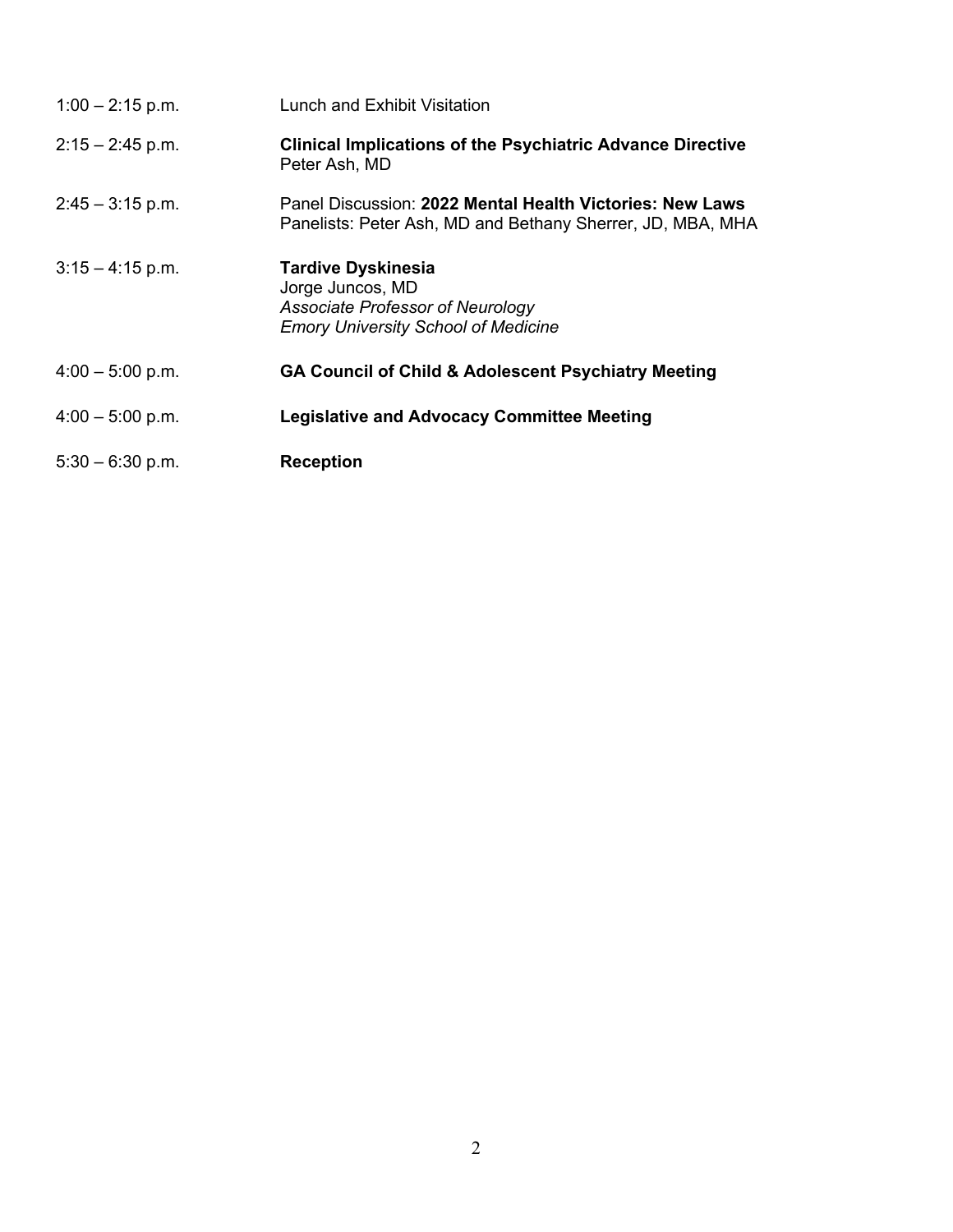| $1:00 - 2:15$ p.m. | Lunch and Exhibit Visitation                                                                                                    |
|--------------------|---------------------------------------------------------------------------------------------------------------------------------|
| $2:15 - 2:45$ p.m. | <b>Clinical Implications of the Psychiatric Advance Directive</b><br>Peter Ash, MD                                              |
| $2:45 - 3:15$ p.m. | Panel Discussion: 2022 Mental Health Victories: New Laws<br>Panelists: Peter Ash, MD and Bethany Sherrer, JD, MBA, MHA          |
| $3:15 - 4:15$ p.m. | <b>Tardive Dyskinesia</b><br>Jorge Juncos, MD<br>Associate Professor of Neurology<br><b>Emory University School of Medicine</b> |
| $4:00 - 5:00$ p.m. | <b>GA Council of Child &amp; Adolescent Psychiatry Meeting</b>                                                                  |
| $4:00 - 5:00$ p.m. | <b>Legislative and Advocacy Committee Meeting</b>                                                                               |
| $5:30 - 6:30$ p.m. | <b>Reception</b>                                                                                                                |